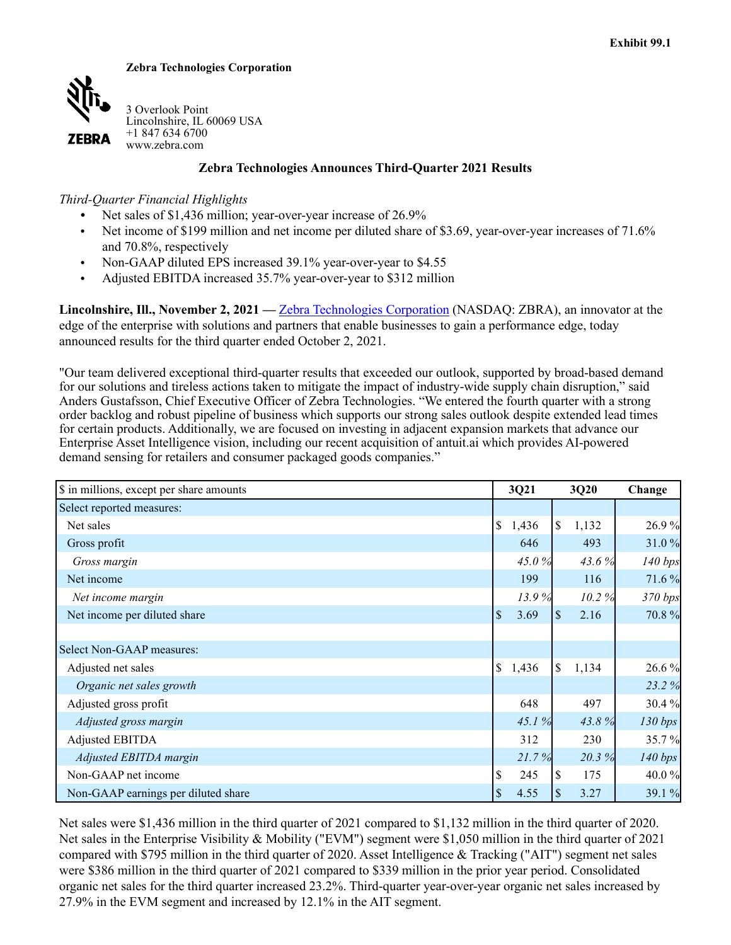**Zebra Technologies Corporation** 



### **Zebra Technologies Announces Third-Quarter 2021 Results**

*Third-Quarter Financial Highlights*

- **•** Net sales of \$1,436 million; year-over-year increase of 26.9%
- Net income of \$199 million and net income per diluted share of \$3.69, year-over-year increases of 71.6% and 70.8%, respectively
- **•** Non-GAAP diluted EPS increased 39.1% year-over-year to \$4.55
- **•** Adjusted EBITDA increased 35.7% year-over-year to \$312 million

**Lincolnshire, Ill., November 2, 2021 —** [Zebra Technologies Corporation](https://www.zebra.com/us/en.html) (NASDAQ: ZBRA), an innovator at the edge of the enterprise with solutions and partners that enable businesses to gain a performance edge, today announced results for the third quarter ended October 2, 2021.

"Our team delivered exceptional third-quarter results that exceeded our outlook, supported by broad-based demand for our solutions and tireless actions taken to mitigate the impact of industry-wide supply chain disruption," said Anders Gustafsson, Chief Executive Officer of Zebra Technologies. "We entered the fourth quarter with a strong order backlog and robust pipeline of business which supports our strong sales outlook despite extended lead times for certain products. Additionally, we are focused on investing in adjacent expansion markets that advance our Enterprise Asset Intelligence vision, including our recent acquisition of antuit.ai which provides AI-powered demand sensing for retailers and consumer packaged goods companies."

| \$ in millions, except per share amounts |                           | 3Q21  |             | 3Q20     | Change  |
|------------------------------------------|---------------------------|-------|-------------|----------|---------|
| Select reported measures:                |                           |       |             |          |         |
| Net sales                                | <sup>\$</sup>             | 1,436 | \$          | 1,132    | 26.9%   |
| Gross profit                             |                           | 646   |             | 493      | 31.0%   |
| Gross margin                             |                           | 45.0% |             | 43.6%    | 140 bps |
| Net income                               |                           | 199   |             | 116      | 71.6 %  |
| Net income margin                        |                           | 13.9% |             | $10.2\%$ | 370 bps |
| Net income per diluted share             | $\mathbb{S}$              | 3.69  | $\sqrt{\ }$ | 2.16     | 70.8%   |
|                                          |                           |       |             |          |         |
| Select Non-GAAP measures:                |                           |       |             |          |         |
| Adjusted net sales                       | <sup>\$</sup>             | 1,436 | \$          | 1,134    | 26.6%   |
| Organic net sales growth                 |                           |       |             |          | 23.2%   |
| Adjusted gross profit                    |                           | 648   |             | 497      | 30.4%   |
| Adjusted gross margin                    |                           | 45.1% |             | 43.8%    | 130 bps |
| Adjusted EBITDA                          |                           | 312   |             | 230      | 35.7%   |
| Adjusted EBITDA margin                   |                           | 21.7% |             | 20.3%    | 140 bps |
| Non-GAAP net income                      | S                         | 245   | \$          | 175      | 40.0%   |
| Non-GAAP earnings per diluted share      | $\boldsymbol{\mathsf{S}}$ | 4.55  | \$          | 3.27     | 39.1 %  |

Net sales were \$1,436 million in the third quarter of 2021 compared to \$1,132 million in the third quarter of 2020. Net sales in the Enterprise Visibility & Mobility ("EVM") segment were \$1,050 million in the third quarter of 2021 compared with \$795 million in the third quarter of 2020. Asset Intelligence & Tracking ("AIT") segment net sales were \$386 million in the third quarter of 2021 compared to \$339 million in the prior year period. Consolidated organic net sales for the third quarter increased 23.2%. Third-quarter year-over-year organic net sales increased by 27.9% in the EVM segment and increased by 12.1% in the AIT segment.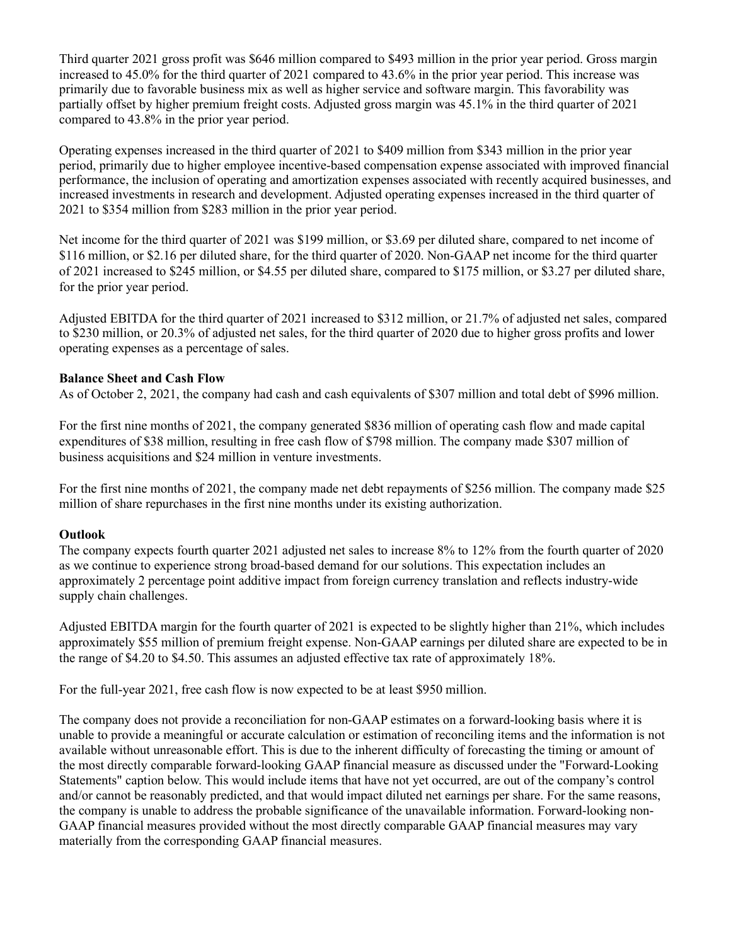Third quarter 2021 gross profit was \$646 million compared to \$493 million in the prior year period. Gross margin increased to 45.0% for the third quarter of 2021 compared to 43.6% in the prior year period. This increase was primarily due to favorable business mix as well as higher service and software margin. This favorability was partially offset by higher premium freight costs. Adjusted gross margin was 45.1% in the third quarter of 2021 compared to 43.8% in the prior year period.

Operating expenses increased in the third quarter of 2021 to \$409 million from \$343 million in the prior year period, primarily due to higher employee incentive-based compensation expense associated with improved financial performance, the inclusion of operating and amortization expenses associated with recently acquired businesses, and increased investments in research and development. Adjusted operating expenses increased in the third quarter of 2021 to \$354 million from \$283 million in the prior year period.

Net income for the third quarter of 2021 was \$199 million, or \$3.69 per diluted share, compared to net income of \$116 million, or \$2.16 per diluted share, for the third quarter of 2020. Non-GAAP net income for the third quarter of 2021 increased to \$245 million, or \$4.55 per diluted share, compared to \$175 million, or \$3.27 per diluted share, for the prior year period.

Adjusted EBITDA for the third quarter of 2021 increased to \$312 million, or 21.7% of adjusted net sales, compared to \$230 million, or 20.3% of adjusted net sales, for the third quarter of 2020 due to higher gross profits and lower operating expenses as a percentage of sales.

#### **Balance Sheet and Cash Flow**

As of October 2, 2021, the company had cash and cash equivalents of \$307 million and total debt of \$996 million.

For the first nine months of 2021, the company generated \$836 million of operating cash flow and made capital expenditures of \$38 million, resulting in free cash flow of \$798 million. The company made \$307 million of business acquisitions and \$24 million in venture investments.

For the first nine months of 2021, the company made net debt repayments of \$256 million. The company made \$25 million of share repurchases in the first nine months under its existing authorization.

#### **Outlook**

The company expects fourth quarter 2021 adjusted net sales to increase 8% to 12% from the fourth quarter of 2020 as we continue to experience strong broad-based demand for our solutions. This expectation includes an approximately 2 percentage point additive impact from foreign currency translation and reflects industry-wide supply chain challenges.

Adjusted EBITDA margin for the fourth quarter of 2021 is expected to be slightly higher than 21%, which includes approximately \$55 million of premium freight expense. Non-GAAP earnings per diluted share are expected to be in the range of \$4.20 to \$4.50. This assumes an adjusted effective tax rate of approximately 18%.

For the full-year 2021, free cash flow is now expected to be at least \$950 million.

The company does not provide a reconciliation for non-GAAP estimates on a forward-looking basis where it is unable to provide a meaningful or accurate calculation or estimation of reconciling items and the information is not available without unreasonable effort. This is due to the inherent difficulty of forecasting the timing or amount of the most directly comparable forward-looking GAAP financial measure as discussed under the "Forward-Looking Statements" caption below. This would include items that have not yet occurred, are out of the company's control and/or cannot be reasonably predicted, and that would impact diluted net earnings per share. For the same reasons, the company is unable to address the probable significance of the unavailable information. Forward-looking non-GAAP financial measures provided without the most directly comparable GAAP financial measures may vary materially from the corresponding GAAP financial measures.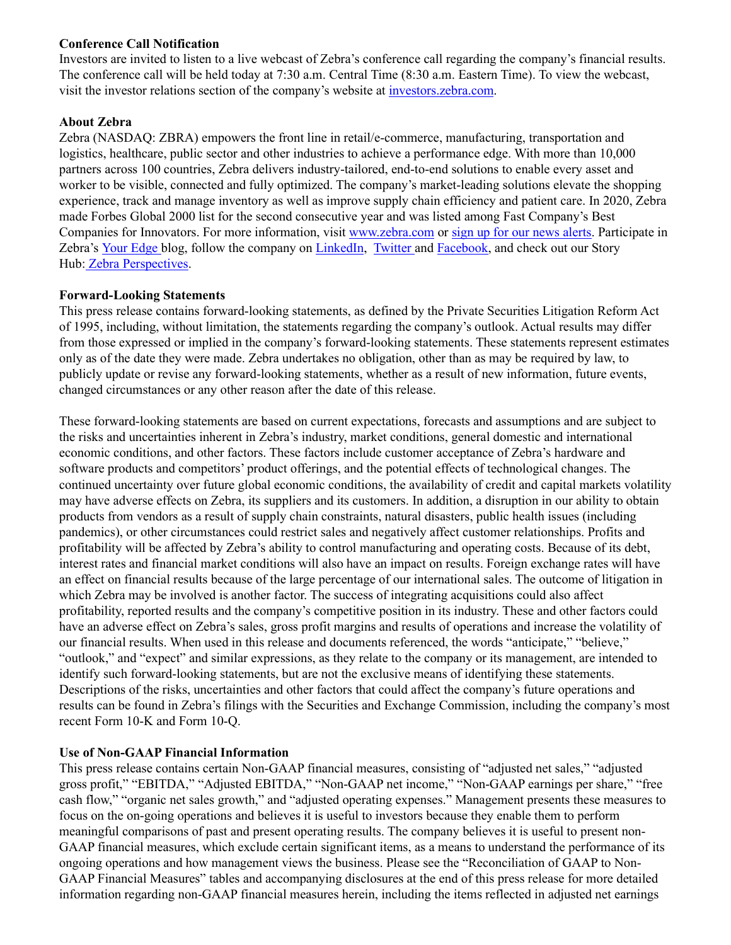### **Conference Call Notification**

Investors are invited to listen to a live webcast of Zebra's conference call regarding the company's financial results. The conference call will be held today at 7:30 a.m. Central Time (8:30 a.m. Eastern Time). To view the webcast, visit the investor relations section of the company's website a[t investors.zebra.com.](https://investors.zebra.com/overview/default.aspx)

## **About Zebra**

Zebra (NASDAQ: ZBRA) empowers the front line in retail/e-commerce, manufacturing, transportation and logistics, healthcare, public sector and other industries to achieve a performance edge. With more than 10,000 partners across 100 countries, Zebra delivers industry-tailored, end-to-end solutions to enable every asset and worker to be visible, connected and fully optimized. The company's market-leading solutions elevate the shopping experience, track and manage inventory as well as improve supply chain efficiency and patient care. In 2020, Zebra made Forbes Global 2000 list for the second consecutive year and was listed among Fast Company's Best Companies for Innovators. For more information, visit [www.zebra.com](https://www.zebra.com/us/en.html) or [sign up for our](https://investors.zebra.com/resources/email-alerts/default.aspx) news alerts. Participate in Zebra's [Your Edge](https://www.zebra.com/us/en/blog.html) blog, follow the company on [LinkedIn,](https://www.linkedin.com/company/zebra-technologies) [Twitter](https://twitter.com/ZebraTechnology) and [Facebook,](https://www.facebook.com/login/?next=https%3A%2F%2Fwww.facebook.com%2FZebraTechnologiesGlobal) and check out our Story Hub: [Zebra Perspectives.](https://www.zebra.com/us/en/about-zebra/newsroom.html)

### **Forward-Looking Statements**

This press release contains forward-looking statements, as defined by the Private Securities Litigation Reform Act of 1995, including, without limitation, the statements regarding the company's outlook. Actual results may differ from those expressed or implied in the company's forward-looking statements. These statements represent estimates only as of the date they were made. Zebra undertakes no obligation, other than as may be required by law, to publicly update or revise any forward-looking statements, whether as a result of new information, future events, changed circumstances or any other reason after the date of this release.

These forward-looking statements are based on current expectations, forecasts and assumptions and are subject to the risks and uncertainties inherent in Zebra's industry, market conditions, general domestic and international economic conditions, and other factors. These factors include customer acceptance of Zebra's hardware and software products and competitors' product offerings, and the potential effects of technological changes. The continued uncertainty over future global economic conditions, the availability of credit and capital markets volatility may have adverse effects on Zebra, its suppliers and its customers. In addition, a disruption in our ability to obtain products from vendors as a result of supply chain constraints, natural disasters, public health issues (including pandemics), or other circumstances could restrict sales and negatively affect customer relationships. Profits and profitability will be affected by Zebra's ability to control manufacturing and operating costs. Because of its debt, interest rates and financial market conditions will also have an impact on results. Foreign exchange rates will have an effect on financial results because of the large percentage of our international sales. The outcome of litigation in which Zebra may be involved is another factor. The success of integrating acquisitions could also affect profitability, reported results and the company's competitive position in its industry. These and other factors could have an adverse effect on Zebra's sales, gross profit margins and results of operations and increase the volatility of our financial results. When used in this release and documents referenced, the words "anticipate," "believe," "outlook," and "expect" and similar expressions, as they relate to the company or its management, are intended to identify such forward-looking statements, but are not the exclusive means of identifying these statements. Descriptions of the risks, uncertainties and other factors that could affect the company's future operations and results can be found in Zebra's filings with the Securities and Exchange Commission, including the company's most recent Form 10-K and Form 10-Q.

## **Use of Non-GAAP Financial Information**

This press release contains certain Non-GAAP financial measures, consisting of "adjusted net sales," "adjusted gross profit," "EBITDA," "Adjusted EBITDA," "Non-GAAP net income," "Non-GAAP earnings per share," "free cash flow," "organic net sales growth," and "adjusted operating expenses." Management presents these measures to focus on the on-going operations and believes it is useful to investors because they enable them to perform meaningful comparisons of past and present operating results. The company believes it is useful to present non-GAAP financial measures, which exclude certain significant items, as a means to understand the performance of its ongoing operations and how management views the business. Please see the "Reconciliation of GAAP to Non-GAAP Financial Measures" tables and accompanying disclosures at the end of this press release for more detailed information regarding non-GAAP financial measures herein, including the items reflected in adjusted net earnings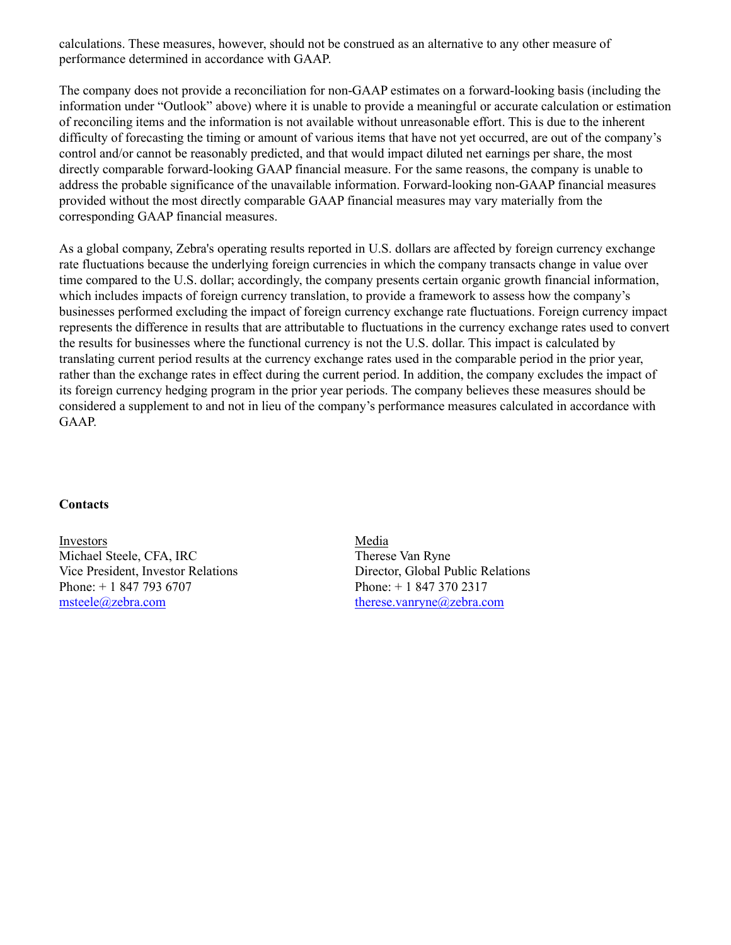calculations. These measures, however, should not be construed as an alternative to any other measure of performance determined in accordance with GAAP.

The company does not provide a reconciliation for non-GAAP estimates on a forward-looking basis (including the information under "Outlook" above) where it is unable to provide a meaningful or accurate calculation or estimation of reconciling items and the information is not available without unreasonable effort. This is due to the inherent difficulty of forecasting the timing or amount of various items that have not yet occurred, are out of the company's control and/or cannot be reasonably predicted, and that would impact diluted net earnings per share, the most directly comparable forward-looking GAAP financial measure. For the same reasons, the company is unable to address the probable significance of the unavailable information. Forward-looking non-GAAP financial measures provided without the most directly comparable GAAP financial measures may vary materially from the corresponding GAAP financial measures.

As a global company, Zebra's operating results reported in U.S. dollars are affected by foreign currency exchange rate fluctuations because the underlying foreign currencies in which the company transacts change in value over time compared to the U.S. dollar; accordingly, the company presents certain organic growth financial information, which includes impacts of foreign currency translation, to provide a framework to assess how the company's businesses performed excluding the impact of foreign currency exchange rate fluctuations. Foreign currency impact represents the difference in results that are attributable to fluctuations in the currency exchange rates used to convert the results for businesses where the functional currency is not the U.S. dollar. This impact is calculated by translating current period results at the currency exchange rates used in the comparable period in the prior year, rather than the exchange rates in effect during the current period. In addition, the company excludes the impact of its foreign currency hedging program in the prior year periods. The company believes these measures should be considered a supplement to and not in lieu of the company's performance measures calculated in accordance with GAAP.

#### **Contacts**

Investors Media Michael Steele, CFA, IRC Therese Van Ryne Vice President, Investor Relations Director, Global Public Relations Phone: + 1 847 793 6707 Phone: + 1 847 370 2317 msteele@zebra.com therese.vanryne@zebra.com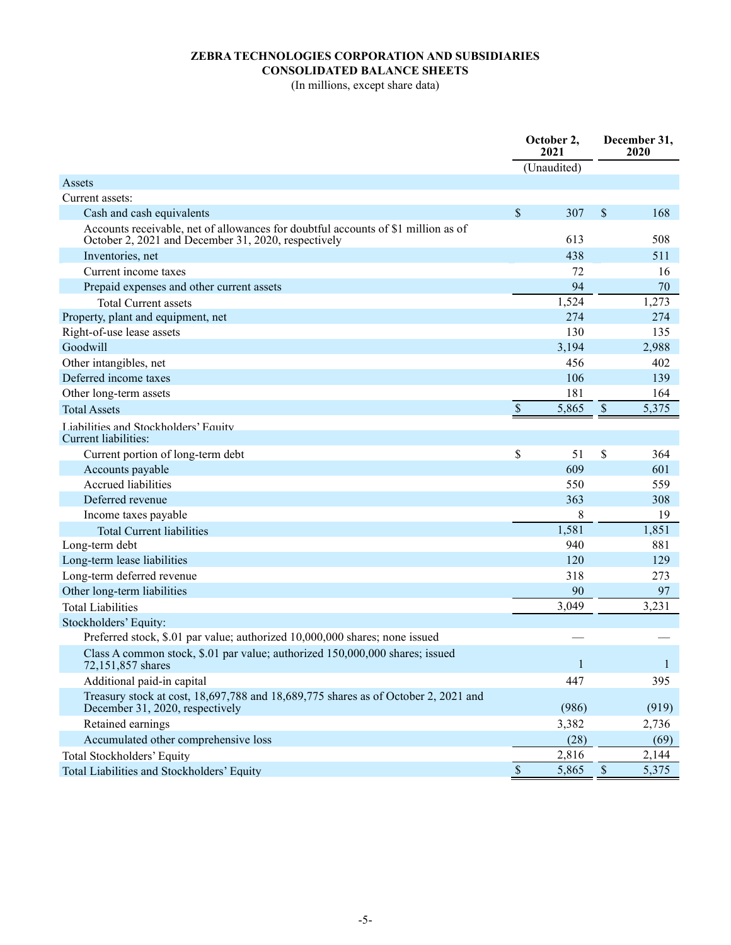## **ZEBRA TECHNOLOGIES CORPORATION AND SUBSIDIARIES CONSOLIDATED BALANCE SHEETS**

(In millions, except share data)

|                                                                                                                                          |              | October 2,<br>2021 |                           | December 31,<br>2020 |
|------------------------------------------------------------------------------------------------------------------------------------------|--------------|--------------------|---------------------------|----------------------|
|                                                                                                                                          |              | (Unaudited)        |                           |                      |
| Assets                                                                                                                                   |              |                    |                           |                      |
| Current assets:                                                                                                                          |              |                    |                           |                      |
| Cash and cash equivalents                                                                                                                | \$           | 307                | \$                        | 168                  |
| Accounts receivable, net of allowances for doubtful accounts of \$1 million as of<br>October 2, 2021 and December 31, 2020, respectively |              | 613                |                           | 508                  |
| Inventories, net                                                                                                                         |              | 438                |                           | 511                  |
| Current income taxes                                                                                                                     |              | 72                 |                           | 16                   |
| Prepaid expenses and other current assets                                                                                                |              | 94                 |                           | 70                   |
| <b>Total Current assets</b>                                                                                                              |              | 1,524              |                           | 1,273                |
| Property, plant and equipment, net                                                                                                       |              | 274                |                           | 274                  |
| Right-of-use lease assets                                                                                                                |              | 130                |                           | 135                  |
| Goodwill                                                                                                                                 |              | 3,194              |                           | 2,988                |
| Other intangibles, net                                                                                                                   |              | 456                |                           | 402                  |
| Deferred income taxes                                                                                                                    |              | 106                |                           | 139                  |
| Other long-term assets                                                                                                                   |              | 181                |                           | 164                  |
| <b>Total Assets</b>                                                                                                                      | $\sqrt{\ }$  | 5,865              | $\mathbb S$               | 5,375                |
| Liabilities and Stockholders' Equity<br><b>Current liabilities:</b>                                                                      |              |                    |                           |                      |
| Current portion of long-term debt                                                                                                        | \$           | 51                 | \$                        | 364                  |
| Accounts payable                                                                                                                         |              | 609                |                           | 601                  |
| Accrued liabilities                                                                                                                      |              | 550                |                           | 559                  |
| Deferred revenue                                                                                                                         |              | 363                |                           | 308                  |
| Income taxes payable                                                                                                                     |              | 8                  |                           | 19                   |
| <b>Total Current liabilities</b>                                                                                                         |              | 1,581              |                           | 1,851                |
| Long-term debt                                                                                                                           |              | 940                |                           | 881                  |
| Long-term lease liabilities                                                                                                              |              | 120                |                           | 129                  |
| Long-term deferred revenue                                                                                                               |              | 318                |                           | 273                  |
| Other long-term liabilities                                                                                                              |              | 90                 |                           | 97                   |
| <b>Total Liabilities</b>                                                                                                                 |              | 3,049              |                           | 3,231                |
| Stockholders' Equity:                                                                                                                    |              |                    |                           |                      |
| Preferred stock, \$.01 par value; authorized 10,000,000 shares; none issued                                                              |              |                    |                           |                      |
| Class A common stock, \$.01 par value; authorized 150,000,000 shares; issued<br>72,151,857 shares                                        |              | 1                  |                           |                      |
| Additional paid-in capital                                                                                                               |              | 447                |                           | 395                  |
| Treasury stock at cost, 18,697,788 and 18,689,775 shares as of October 2, 2021 and<br>December 31, 2020, respectively                    |              | (986)              |                           | (919)                |
| Retained earnings                                                                                                                        |              | 3,382              |                           | 2,736                |
| Accumulated other comprehensive loss                                                                                                     |              | (28)               |                           | (69)                 |
| Total Stockholders' Equity                                                                                                               |              | 2,816              |                           | 2,144                |
| Total Liabilities and Stockholders' Equity                                                                                               | $\mathbb{S}$ | 5,865              | $\boldsymbol{\mathsf{S}}$ | 5,375                |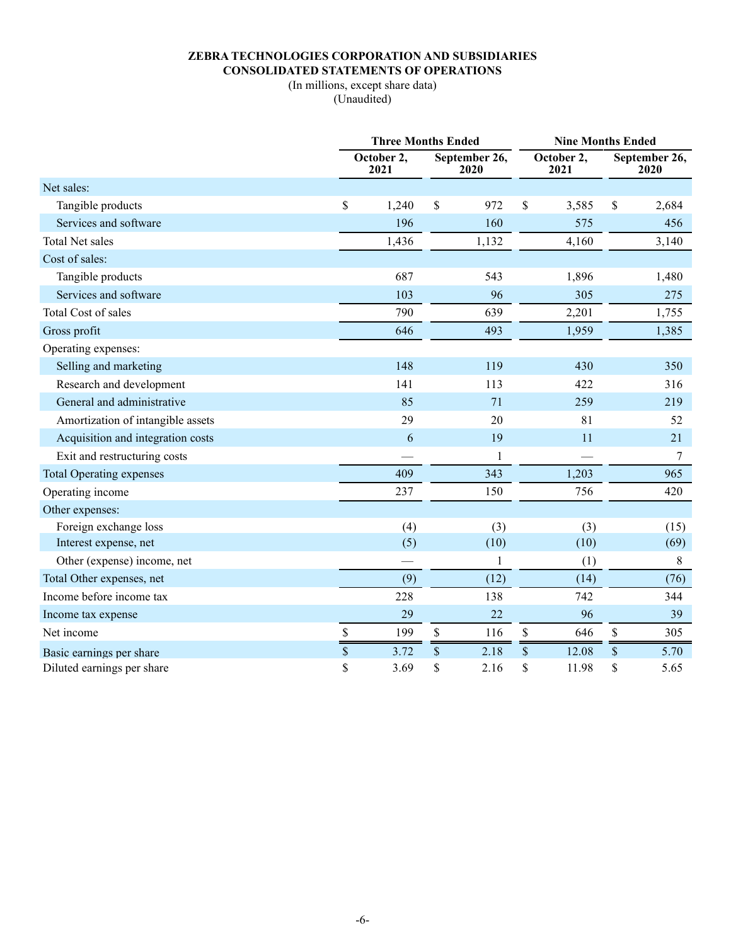## **ZEBRA TECHNOLOGIES CORPORATION AND SUBSIDIARIES CONSOLIDATED STATEMENTS OF OPERATIONS**

(In millions, except share data) (Unaudited)

|                                   |                        | <b>Three Months Ended</b> |              |                       | <b>Nine Months Ended</b> |       |                       |       |
|-----------------------------------|------------------------|---------------------------|--------------|-----------------------|--------------------------|-------|-----------------------|-------|
|                                   |                        | October 2,<br>2021        |              | September 26,<br>2020 | October 2,<br>2021       |       | September 26,<br>2020 |       |
| Net sales:                        |                        |                           |              |                       |                          |       |                       |       |
| Tangible products                 | \$                     | 1,240                     | \$           | 972                   | \$                       | 3,585 | \$                    | 2,684 |
| Services and software             |                        | 196                       |              | 160                   |                          | 575   |                       | 456   |
| <b>Total Net sales</b>            |                        | 1,436                     |              | 1,132                 |                          | 4,160 |                       | 3,140 |
| Cost of sales:                    |                        |                           |              |                       |                          |       |                       |       |
| Tangible products                 |                        | 687                       |              | 543                   |                          | 1,896 |                       | 1,480 |
| Services and software             |                        | 103                       |              | 96                    |                          | 305   |                       | 275   |
| Total Cost of sales               |                        | 790                       |              | 639                   |                          | 2,201 |                       | 1,755 |
| Gross profit                      |                        | 646                       |              | 493                   |                          | 1,959 |                       | 1,385 |
| Operating expenses:               |                        |                           |              |                       |                          |       |                       |       |
| Selling and marketing             |                        | 148                       |              | 119                   |                          | 430   |                       | 350   |
| Research and development          |                        | 141                       |              | 113                   |                          | 422   |                       | 316   |
| General and administrative        |                        | 85                        |              | 71                    |                          | 259   |                       | 219   |
| Amortization of intangible assets |                        | 29                        |              | 20                    |                          | 81    |                       | 52    |
| Acquisition and integration costs |                        | 6                         |              | 19                    |                          | 11    |                       | 21    |
| Exit and restructuring costs      |                        |                           |              | 1                     |                          |       |                       | 7     |
| <b>Total Operating expenses</b>   |                        | 409                       |              | 343                   |                          | 1,203 |                       | 965   |
| Operating income                  |                        | 237                       |              | 150                   |                          | 756   |                       | 420   |
| Other expenses:                   |                        |                           |              |                       |                          |       |                       |       |
| Foreign exchange loss             |                        | (4)                       |              | (3)                   |                          | (3)   |                       | (15)  |
| Interest expense, net             |                        | (5)                       |              | (10)                  |                          | (10)  |                       | (69)  |
| Other (expense) income, net       |                        |                           |              | 1                     |                          | (1)   |                       | 8     |
| Total Other expenses, net         |                        | (9)                       |              | (12)                  |                          | (14)  |                       | (76)  |
| Income before income tax          |                        | 228                       |              | 138                   |                          | 742   |                       | 344   |
| Income tax expense                |                        | 29                        |              | 22                    |                          | 96    |                       | 39    |
| Net income                        | \$                     | 199                       | \$           | 116                   | \$                       | 646   | \$                    | 305   |
| Basic earnings per share          | $\sqrt{\frac{2}{\pi}}$ | 3.72                      | $\mathbb{S}$ | 2.18                  | \$                       | 12.08 | \$                    | 5.70  |
| Diluted earnings per share        | \$                     | 3.69                      | \$           | 2.16                  | \$                       | 11.98 | \$                    | 5.65  |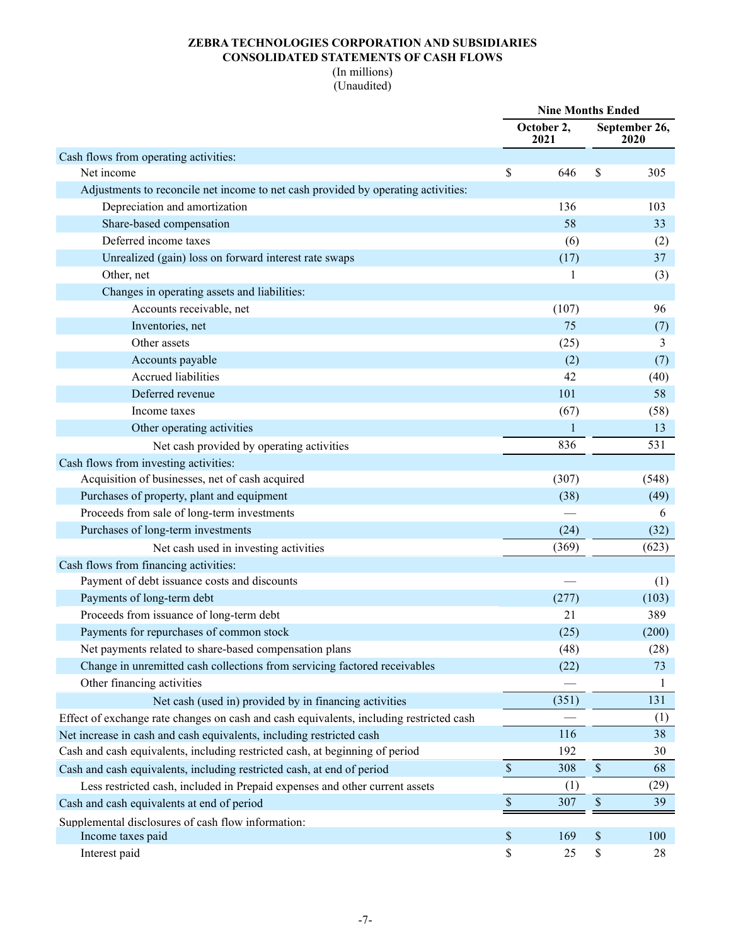#### **ZEBRA TECHNOLOGIES CORPORATION AND SUBSIDIARIES CONSOLIDATED STATEMENTS OF CASH FLOWS**

# (In millions)

(Unaudited)

|                                                                                         | <b>Nine Months Ended</b>  |                    |                          |                       |
|-----------------------------------------------------------------------------------------|---------------------------|--------------------|--------------------------|-----------------------|
|                                                                                         |                           | October 2,<br>2021 |                          | September 26,<br>2020 |
| Cash flows from operating activities:                                                   |                           |                    |                          |                       |
| Net income                                                                              | \$                        | 646                | S                        | 305                   |
| Adjustments to reconcile net income to net cash provided by operating activities:       |                           |                    |                          |                       |
| Depreciation and amortization                                                           |                           | 136                |                          | 103                   |
| Share-based compensation                                                                |                           | 58                 |                          | 33                    |
| Deferred income taxes                                                                   |                           | (6)                |                          | (2)                   |
| Unrealized (gain) loss on forward interest rate swaps                                   |                           | (17)               |                          | 37                    |
| Other, net                                                                              |                           | 1                  |                          | (3)                   |
| Changes in operating assets and liabilities:                                            |                           |                    |                          |                       |
| Accounts receivable, net                                                                |                           | (107)              |                          | 96                    |
| Inventories, net                                                                        |                           | 75                 |                          | (7)                   |
| Other assets                                                                            |                           | (25)               |                          | 3                     |
| Accounts payable                                                                        |                           | (2)                |                          | (7)                   |
| <b>Accrued liabilities</b>                                                              |                           | 42                 |                          | (40)                  |
| Deferred revenue                                                                        |                           | 101                |                          | 58                    |
| Income taxes                                                                            |                           | (67)               |                          | (58)                  |
| Other operating activities                                                              |                           | 1                  |                          | 13                    |
| Net cash provided by operating activities                                               |                           | 836                |                          | 531                   |
| Cash flows from investing activities:                                                   |                           |                    |                          |                       |
| Acquisition of businesses, net of cash acquired                                         |                           | (307)              |                          | (548)                 |
| Purchases of property, plant and equipment                                              |                           | (38)               |                          | (49)                  |
| Proceeds from sale of long-term investments                                             |                           |                    |                          | 6                     |
| Purchases of long-term investments                                                      |                           | (24)               |                          | (32)                  |
| Net cash used in investing activities                                                   |                           | (369)              |                          | (623)                 |
| Cash flows from financing activities:                                                   |                           |                    |                          |                       |
| Payment of debt issuance costs and discounts                                            |                           |                    |                          | (1)                   |
| Payments of long-term debt                                                              |                           | (277)              |                          | (103)                 |
| Proceeds from issuance of long-term debt                                                |                           | 21                 |                          | 389                   |
| Payments for repurchases of common stock                                                |                           | (25)               |                          | (200)                 |
| Net payments related to share-based compensation plans                                  |                           | (48)               |                          | (28)                  |
| Change in unremitted cash collections from servicing factored receivables               |                           | (22)               |                          | 73                    |
| Other financing activities                                                              |                           |                    |                          | $\mathbf{1}$          |
| Net cash (used in) provided by in financing activities                                  |                           | (351)              |                          | 131                   |
| Effect of exchange rate changes on cash and cash equivalents, including restricted cash |                           |                    |                          | (1)                   |
| Net increase in cash and cash equivalents, including restricted cash                    |                           | 116                |                          | 38                    |
| Cash and cash equivalents, including restricted cash, at beginning of period            |                           | 192                |                          | 30                    |
| Cash and cash equivalents, including restricted cash, at end of period                  | $\boldsymbol{\mathsf{S}}$ | 308                | $\overline{\mathcal{S}}$ | 68                    |
| Less restricted cash, included in Prepaid expenses and other current assets             |                           | (1)                |                          | (29)                  |
| Cash and cash equivalents at end of period                                              | $\mathbb S$               | 307                | $\mathbb{S}$             | 39                    |
| Supplemental disclosures of cash flow information:                                      |                           |                    |                          |                       |
| Income taxes paid                                                                       | \$                        | 169                | $\$$                     | 100                   |
| Interest paid                                                                           | \$                        | 25                 | \$                       | 28                    |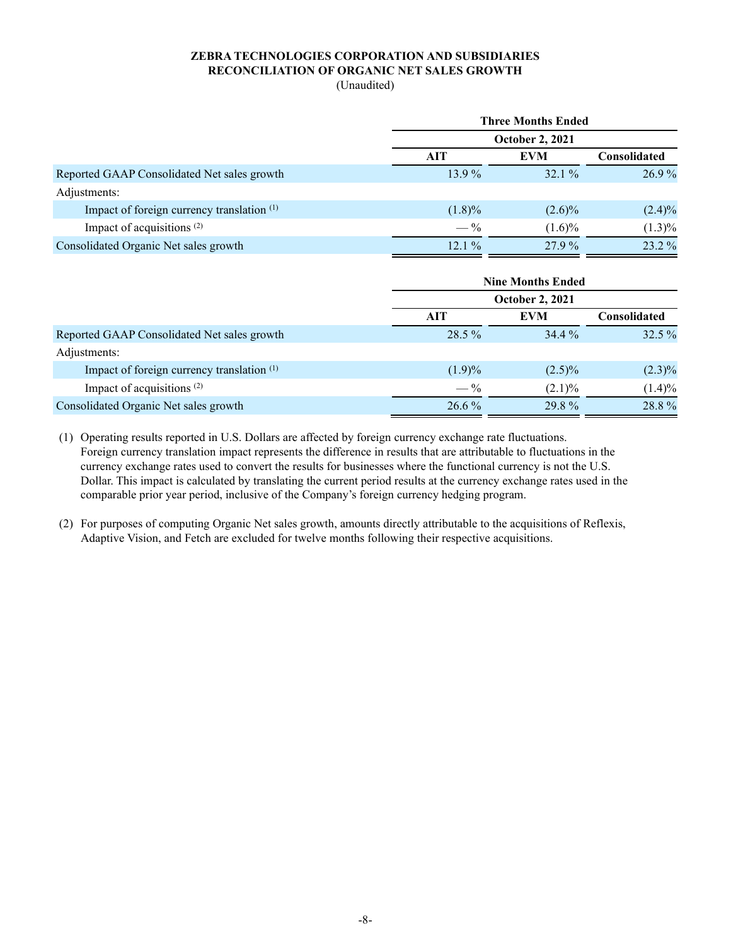## **ZEBRA TECHNOLOGIES CORPORATION AND SUBSIDIARIES RECONCILIATION OF ORGANIC NET SALES GROWTH**

(Unaudited)

|                                             | <b>Three Months Ended</b> |            |              |  |  |  |  |  |
|---------------------------------------------|---------------------------|------------|--------------|--|--|--|--|--|
|                                             | <b>October 2, 2021</b>    |            |              |  |  |  |  |  |
|                                             | AIT                       | <b>EVM</b> | Consolidated |  |  |  |  |  |
| Reported GAAP Consolidated Net sales growth | $13.9\%$                  | $32.1\%$   | 26.9%        |  |  |  |  |  |
| Adjustments:                                |                           |            |              |  |  |  |  |  |
| Impact of foreign currency translation (1)  | $(1.8)\%$                 | $(2.6)\%$  | $(2.4)\%$    |  |  |  |  |  |
| Impact of acquisitions $(2)$                | $- \frac{6}{6}$           | $(1.6)\%$  | $(1.3)\%$    |  |  |  |  |  |
| Consolidated Organic Net sales growth       | 12.1%                     | 27.9 %     | 23.2 %       |  |  |  |  |  |

|                                                       |                 | <b>Nine Months Ended</b> |                     |  |  |  |  |  |  |
|-------------------------------------------------------|-----------------|--------------------------|---------------------|--|--|--|--|--|--|
|                                                       |                 | <b>October 2, 2021</b>   |                     |  |  |  |  |  |  |
|                                                       | AIT             | <b>EVM</b>               | <b>Consolidated</b> |  |  |  |  |  |  |
| Reported GAAP Consolidated Net sales growth           | $28.5\%$        | $34.4\%$                 | $32.5\%$            |  |  |  |  |  |  |
| Adjustments:                                          |                 |                          |                     |  |  |  |  |  |  |
| Impact of foreign currency translation <sup>(1)</sup> | $(1.9)\%$       | $(2.5)\%$                | $(2.3)\%$           |  |  |  |  |  |  |
| Impact of acquisitions $(2)$                          | $- \frac{6}{6}$ | $(2.1)\%$                | $(1.4)\%$           |  |  |  |  |  |  |
| Consolidated Organic Net sales growth                 | $26.6\%$        | 29.8%                    | 28.8%               |  |  |  |  |  |  |

(1) Operating results reported in U.S. Dollars are affected by foreign currency exchange rate fluctuations. Foreign currency translation impact represents the difference in results that are attributable to fluctuations in the currency exchange rates used to convert the results for businesses where the functional currency is not the U.S. Dollar. This impact is calculated by translating the current period results at the currency exchange rates used in the comparable prior year period, inclusive of the Company's foreign currency hedging program.

(2) For purposes of computing Organic Net sales growth, amounts directly attributable to the acquisitions of Reflexis, Adaptive Vision, and Fetch are excluded for twelve months following their respective acquisitions.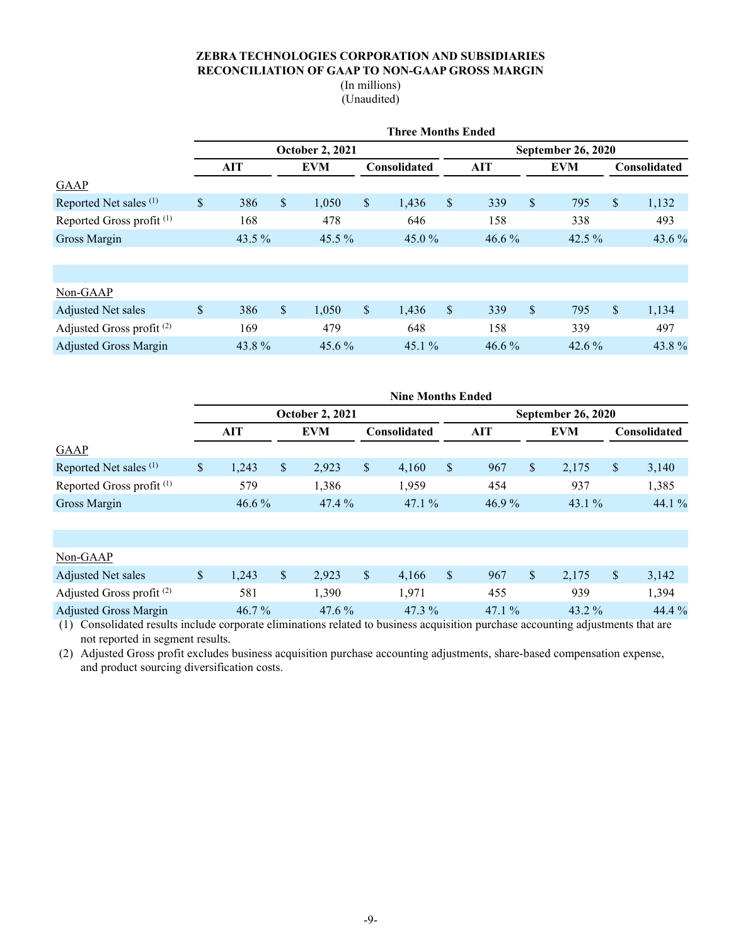## **ZEBRA TECHNOLOGIES CORPORATION AND SUBSIDIARIES**

## **RECONCILIATION OF GAAP TO NON-GAAP GROSS MARGIN**

(In millions) (Unaudited)

|                                      | <b>Three Months Ended</b> |              |            |              |                     |    |                           |    |            |              |                     |  |
|--------------------------------------|---------------------------|--------------|------------|--------------|---------------------|----|---------------------------|----|------------|--------------|---------------------|--|
|                                      | <b>October 2, 2021</b>    |              |            |              |                     |    | <b>September 26, 2020</b> |    |            |              |                     |  |
|                                      | <b>AIT</b>                |              | <b>EVM</b> |              | <b>Consolidated</b> |    | <b>AIT</b>                |    | <b>EVM</b> |              | <b>Consolidated</b> |  |
| GAAP                                 |                           |              |            |              |                     |    |                           |    |            |              |                     |  |
| Reported Net sales (1)               | \$<br>386                 | $\mathbb{S}$ | 1,050      | $\sqrt{\ }$  | 1,436               | \$ | 339                       | \$ | 795        | $\mathbb{S}$ | 1,132               |  |
| Reported Gross profit <sup>(1)</sup> | 168                       |              | 478        |              | 646                 |    | 158                       |    | 338        |              | 493                 |  |
| Gross Margin                         | 43.5 %                    |              | 45.5 $%$   |              | 45.0 $%$            |    | 46.6 $%$                  |    | 42.5 $%$   |              | 43.6 %              |  |
|                                      |                           |              |            |              |                     |    |                           |    |            |              |                     |  |
|                                      |                           |              |            |              |                     |    |                           |    |            |              |                     |  |
| Non-GAAP                             |                           |              |            |              |                     |    |                           |    |            |              |                     |  |
| Adjusted Net sales                   | \$<br>386                 | $\mathbb{S}$ | 1,050      | $\mathbb{S}$ | 1,436               | \$ | 339                       | \$ | 795        | \$           | 1,134               |  |
| Adjusted Gross profit <sup>(2)</sup> | 169                       |              | 479        |              | 648                 |    | 158                       |    | 339        |              | 497                 |  |
| <b>Adjusted Gross Margin</b>         | 43.8%                     |              | 45.6 $%$   |              | 45.1 $%$            |    | 46.6%                     |    | 42.6 %     |              | 43.8%               |  |

|                                      | <b>Nine Months Ended</b> |            |               |            |              |              |               |                           |    |            |    |              |  |  |
|--------------------------------------|--------------------------|------------|---------------|------------|--------------|--------------|---------------|---------------------------|----|------------|----|--------------|--|--|
|                                      | <b>October 2, 2021</b>   |            |               |            |              |              |               | <b>September 26, 2020</b> |    |            |    |              |  |  |
|                                      |                          | <b>AIT</b> |               | <b>EVM</b> |              | Consolidated |               | <b>AIT</b>                |    | <b>EVM</b> |    | Consolidated |  |  |
| GAAP                                 |                          |            |               |            |              |              |               |                           |    |            |    |              |  |  |
| Reported Net sales (1)               | \$                       | 1,243      | $\mathcal{S}$ | 2,923      | \$           | 4.160        | $\mathcal{S}$ | 967                       | \$ | 2,175      | \$ | 3,140        |  |  |
| Reported Gross profit <sup>(1)</sup> |                          | 579        |               | 1,386      |              | 1,959        |               | 454                       |    | 937        |    | 1,385        |  |  |
| Gross Margin                         |                          | 46.6 $%$   |               | 47.4%      |              | 47.1%        |               | 46.9%                     |    | 43.1 $%$   |    | 44.1 $%$     |  |  |
|                                      |                          |            |               |            |              |              |               |                           |    |            |    |              |  |  |
|                                      |                          |            |               |            |              |              |               |                           |    |            |    |              |  |  |
| Non-GAAP                             |                          |            |               |            |              |              |               |                           |    |            |    |              |  |  |
| <b>Adjusted Net sales</b>            | \$                       | 1,243      | $\mathcal{S}$ | 2,923      | $\mathbb{S}$ | 4,166        | \$            | 967                       | \$ | 2,175      | \$ | 3,142        |  |  |
| Adjusted Gross profit <sup>(2)</sup> |                          | 581        |               | 1,390      |              | 1,971        |               | 455                       |    | 939        |    | 1,394        |  |  |
| <b>Adjusted Gross Margin</b>         |                          | 46.7%      |               | $47.6\%$   |              | 47.3 %       |               | 47.1%                     |    | 43.2 %     |    | 44.4 %       |  |  |

(1) Consolidated results include corporate eliminations related to business acquisition purchase accounting adjustments that are not reported in segment results.

(2) Adjusted Gross profit excludes business acquisition purchase accounting adjustments, share-based compensation expense, and product sourcing diversification costs.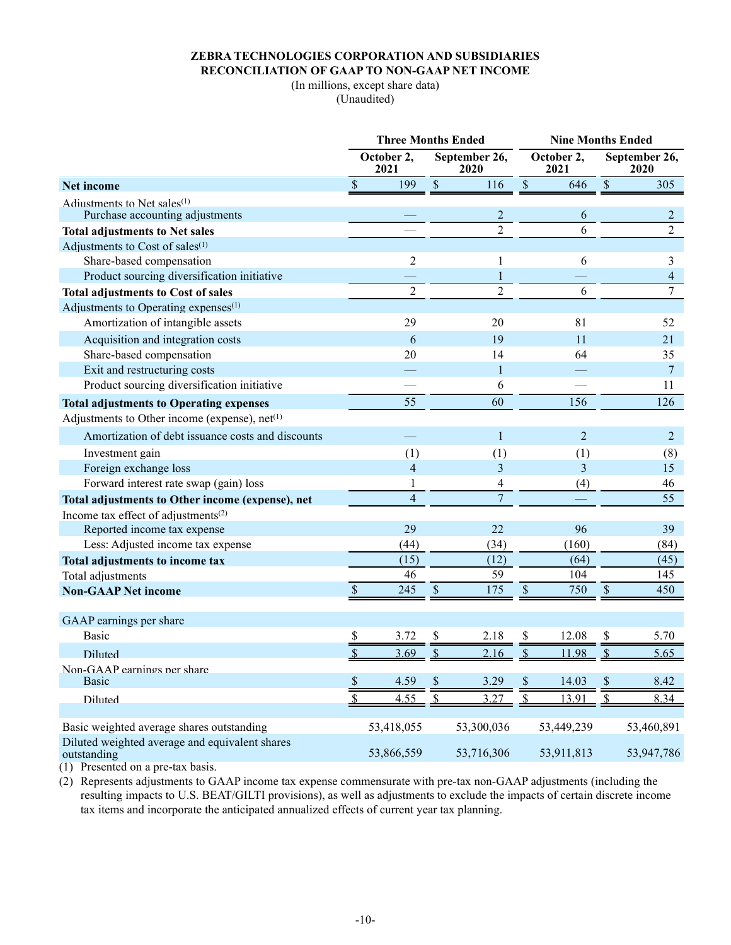#### **ZEBRA TECHNOLOGIES CORPORATION AND SUBSIDIARIES RECONCILIATION OF GAAP TO NON-GAAP NET INCOME**

(In millions, except share data) (Unaudited)

|                                                               | <b>Three Months Ended</b> |                    |                           | <b>Nine Months Ended</b> |                           |                    |                           |                       |
|---------------------------------------------------------------|---------------------------|--------------------|---------------------------|--------------------------|---------------------------|--------------------|---------------------------|-----------------------|
|                                                               |                           | October 2,<br>2021 | September 26,<br>2020     |                          |                           | October 2,<br>2021 |                           | September 26,<br>2020 |
| Net income                                                    | $\boldsymbol{\mathsf{S}}$ | 199                | \$                        | 116                      | \$                        | 646                | \$                        | 305                   |
| Adiustments to Net sales <sup>(1)</sup>                       |                           |                    |                           |                          |                           |                    |                           |                       |
| Purchase accounting adjustments                               |                           |                    |                           | 2                        |                           | 6                  |                           | 2                     |
| <b>Total adjustments to Net sales</b>                         |                           |                    |                           | $\overline{2}$           |                           | 6                  |                           | $\overline{2}$        |
| Adjustments to Cost of sales <sup>(1)</sup>                   |                           |                    |                           |                          |                           |                    |                           |                       |
| Share-based compensation                                      |                           | $\overline{c}$     |                           |                          |                           | 6                  |                           | 3                     |
| Product sourcing diversification initiative                   |                           |                    |                           |                          |                           |                    |                           | $\overline{4}$        |
| <b>Total adjustments to Cost of sales</b>                     |                           | $\overline{2}$     |                           | $\overline{2}$           |                           | 6                  |                           | $\overline{7}$        |
| Adjustments to Operating expenses <sup>(1)</sup>              |                           |                    |                           |                          |                           |                    |                           |                       |
| Amortization of intangible assets                             |                           | 29                 |                           | 20                       |                           | 81                 |                           | 52                    |
| Acquisition and integration costs                             |                           | 6                  |                           | 19                       |                           | 11                 |                           | 21                    |
| Share-based compensation                                      |                           | 20                 |                           | 14                       |                           | 64                 |                           | 35                    |
| Exit and restructuring costs                                  |                           |                    |                           | 1                        |                           |                    |                           | $\overline{7}$        |
| Product sourcing diversification initiative                   |                           |                    |                           | 6                        |                           |                    |                           | 11                    |
| <b>Total adjustments to Operating expenses</b>                |                           | 55                 |                           | 60                       |                           | 156                |                           | 126                   |
| Adjustments to Other income (expense), net <sup>(1)</sup>     |                           |                    |                           |                          |                           |                    |                           |                       |
| Amortization of debt issuance costs and discounts             |                           |                    |                           | 1                        |                           | $\overline{2}$     |                           | $\overline{2}$        |
| Investment gain                                               |                           | (1)                |                           | (1)                      |                           | (1)                |                           | (8)                   |
| Foreign exchange loss                                         |                           | $\overline{4}$     |                           | 3                        |                           | 3                  |                           | 15                    |
| Forward interest rate swap (gain) loss                        |                           | 1                  |                           | 4                        |                           | (4)                |                           | 46                    |
| Total adjustments to Other income (expense), net              |                           | $\overline{4}$     |                           | $\overline{7}$           |                           |                    |                           | 55                    |
| Income tax effect of adjustments <sup>(2)</sup>               |                           |                    |                           |                          |                           |                    |                           |                       |
| Reported income tax expense                                   |                           | 29                 |                           | 22                       |                           | 96                 |                           | 39                    |
| Less: Adjusted income tax expense                             |                           | (44)               |                           | (34)                     |                           | (160)              |                           | (84)                  |
| Total adjustments to income tax                               |                           | (15)               |                           | (12)                     |                           | (64)               |                           | (45)                  |
| Total adjustments                                             |                           | 46                 |                           | 59                       |                           | 104                |                           | 145                   |
| <b>Non-GAAP Net income</b>                                    | $\boldsymbol{\mathsf{S}}$ | 245                | $\$\,$                    | 175                      | $\$$                      | 750                | $\$$                      | 450                   |
|                                                               |                           |                    |                           |                          |                           |                    |                           |                       |
| GAAP earnings per share                                       |                           |                    |                           |                          |                           |                    |                           |                       |
| Basic                                                         | \$                        | 3.72               | \$                        | 2.18                     | \$                        | 12.08              | \$                        | 5.70                  |
| <b>Diluted</b>                                                |                           | 3.69               |                           | 2.16                     | <sup>\$</sup>             | 11.98              | <sup>\$</sup>             | 5.65                  |
| Non-GAAP earnings ner share                                   |                           |                    |                           |                          |                           |                    |                           |                       |
| Basic                                                         | $\boldsymbol{\mathsf{S}}$ | 4.59               | $\boldsymbol{\mathsf{S}}$ | 3.29                     | $\boldsymbol{\mathsf{S}}$ | 14.03              | $\boldsymbol{\mathsf{S}}$ | 8.42                  |
| <b>Diluted</b>                                                |                           | 4.55               |                           | 3.27                     | S                         | 13.91              |                           | 8.34                  |
|                                                               |                           |                    |                           |                          |                           |                    |                           |                       |
| Basic weighted average shares outstanding                     |                           | 53,418,055         |                           | 53,300,036               |                           | 53,449,239         |                           | 53,460,891            |
| Diluted weighted average and equivalent shares<br>outstanding |                           | 53,866,559         |                           | 53,716,306               |                           | 53,911,813         |                           | 53,947,786            |

(1) Presented on a pre-tax basis.

(2) Represents adjustments to GAAP income tax expense commensurate with pre-tax non-GAAP adjustments (including the resulting impacts to U.S. BEAT/GILTI provisions), as well as adjustments to exclude the impacts of certain discrete income tax items and incorporate the anticipated annualized effects of current year tax planning.